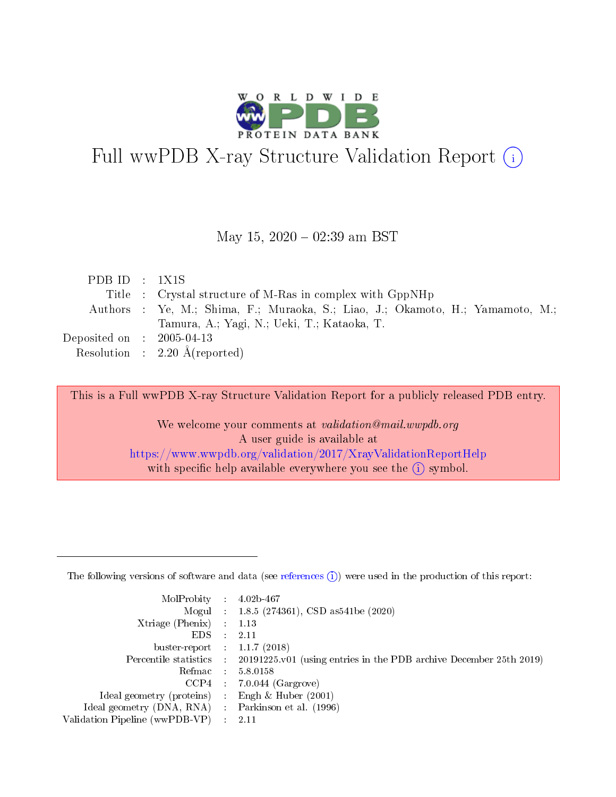

# Full wwPDB X-ray Structure Validation Report (i)

#### May 15,  $2020 - 02:39$  am BST

| PDB ID : $1X1S$                     |                                                                                |
|-------------------------------------|--------------------------------------------------------------------------------|
|                                     | Title : Crystal structure of M-Ras in complex with GppNHp                      |
|                                     | Authors : Ye, M.; Shima, F.; Muraoka, S.; Liao, J.; Okamoto, H.; Yamamoto, M.; |
|                                     | Tamura, A.; Yagi, N.; Ueki, T.; Kataoka, T.                                    |
| Deposited on $\,$ : 2005-04-13 $\,$ |                                                                                |
|                                     | Resolution : $2.20 \text{ Å}$ (reported)                                       |

This is a Full wwPDB X-ray Structure Validation Report for a publicly released PDB entry.

We welcome your comments at validation@mail.wwpdb.org A user guide is available at <https://www.wwpdb.org/validation/2017/XrayValidationReportHelp> with specific help available everywhere you see the  $(i)$  symbol.

The following versions of software and data (see [references](https://www.wwpdb.org/validation/2017/XrayValidationReportHelp#references)  $(1)$ ) were used in the production of this report:

| MolProbity :                   |               | $4.02b - 467$                                                                |
|--------------------------------|---------------|------------------------------------------------------------------------------|
|                                |               | Mogul : $1.8.5$ (274361), CSD as 541be (2020)                                |
| Xtriage (Phenix)               | $\mathcal{L}$ | 1.13                                                                         |
| EDS.                           |               | 2.11                                                                         |
| buster-report : $1.1.7$ (2018) |               |                                                                              |
| Percentile statistics :        |               | $20191225 \text{ v}01$ (using entries in the PDB archive December 25th 2019) |
| Refmac :                       |               | 5.8.0158                                                                     |
| CCP4                           |               | $7.0.044$ (Gargrove)                                                         |
| Ideal geometry (proteins) :    |               | Engh & Huber $(2001)$                                                        |
| Ideal geometry (DNA, RNA) :    |               | Parkinson et al. (1996)                                                      |
| Validation Pipeline (wwPDB-VP) | $\mathcal{L}$ | 2.11                                                                         |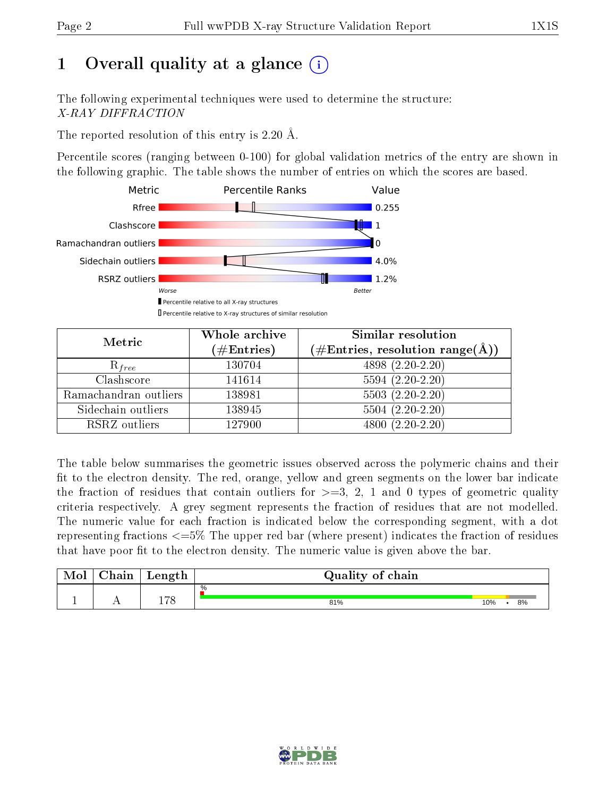# 1 [O](https://www.wwpdb.org/validation/2017/XrayValidationReportHelp#overall_quality)verall quality at a glance  $(i)$

The following experimental techniques were used to determine the structure: X-RAY DIFFRACTION

The reported resolution of this entry is 2.20 Å.

Percentile scores (ranging between 0-100) for global validation metrics of the entry are shown in the following graphic. The table shows the number of entries on which the scores are based.



| Metric                | Whole archive<br>$(\#\mathrm{Entries})$ | Similar resolution<br>$(\#\text{Entries}, \text{resolution range}(\textup{\AA}))$ |
|-----------------------|-----------------------------------------|-----------------------------------------------------------------------------------|
| $R_{free}$            | 130704                                  | 4898 (2.20-2.20)                                                                  |
| Clashscore            | 141614                                  | $5594 (2.20 - 2.20)$                                                              |
| Ramachandran outliers | 138981                                  | $5503(2.20-2.20)$                                                                 |
| Sidechain outliers    | 138945                                  | $5504(2.20-2.20)$                                                                 |
| RSRZ outliers         | 127900                                  | $4800(2.20-2.20)$                                                                 |

The table below summarises the geometric issues observed across the polymeric chains and their fit to the electron density. The red, orange, yellow and green segments on the lower bar indicate the fraction of residues that contain outliers for  $>=3, 2, 1$  and 0 types of geometric quality criteria respectively. A grey segment represents the fraction of residues that are not modelled. The numeric value for each fraction is indicated below the corresponding segment, with a dot representing fractions  $\epsilon=5\%$  The upper red bar (where present) indicates the fraction of residues that have poor fit to the electron density. The numeric value is given above the bar.

| Mol | $\cap$ hain | Length | Quality of chain |     |    |  |  |  |  |  |
|-----|-------------|--------|------------------|-----|----|--|--|--|--|--|
|     |             |        | %                |     |    |  |  |  |  |  |
|     |             | 170    | 81%              | 10% | 8% |  |  |  |  |  |

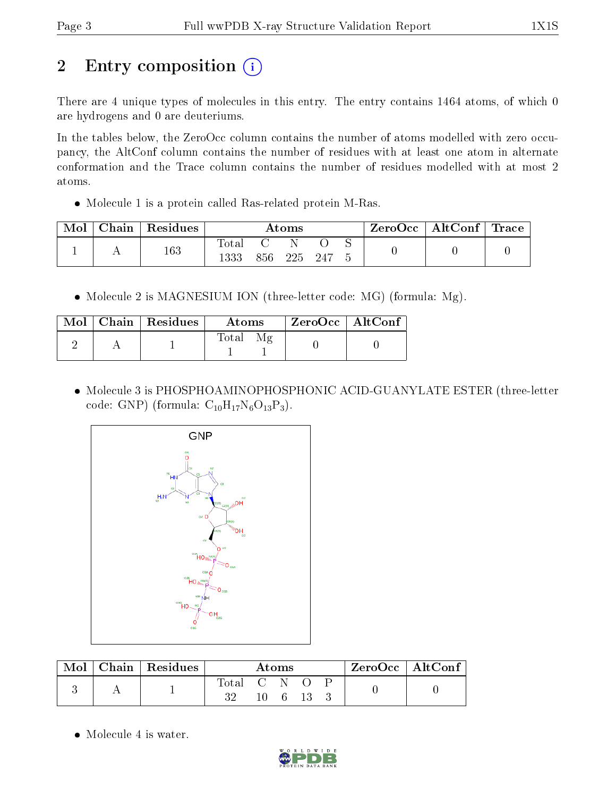# 2 Entry composition (i)

There are 4 unique types of molecules in this entry. The entry contains 1464 atoms, of which 0 are hydrogens and 0 are deuteriums.

In the tables below, the ZeroOcc column contains the number of atoms modelled with zero occupancy, the AltConf column contains the number of residues with at least one atom in alternate conformation and the Trace column contains the number of residues modelled with at most 2 atoms.

Molecule 1 is a protein called Ras-related protein M-Ras.

| Mol | ${\rm Chain}$ | Residues | $\rm{Atoms}$   |     |     |       | ZeroOcc   AltConf   Trace |  |  |
|-----|---------------|----------|----------------|-----|-----|-------|---------------------------|--|--|
|     |               | 163      | $\text{Total}$ | 856 | 225 | - 247 |                           |  |  |

• Molecule 2 is MAGNESIUM ION (three-letter code: MG) (formula: Mg).

|  | $\text{Mol}$   Chain   Residues | <b>Atoms</b> | ZeroOcc   AltConf |
|--|---------------------------------|--------------|-------------------|
|  |                                 | $\rm Total$  |                   |

 Molecule 3 is PHOSPHOAMINOPHOSPHONIC ACID-GUANYLATE ESTER (three-letter code: GNP) (formula:  $C_{10}H_{17}N_6O_{13}P_3$ ).



|  | Chain   Residues | Atoms        |     |  |  | $ZeroOcc$   AltConf |  |
|--|------------------|--------------|-----|--|--|---------------------|--|
|  |                  | l'otal<br>າາ | CN. |  |  |                     |  |
|  |                  |              |     |  |  |                     |  |

• Molecule 4 is water.

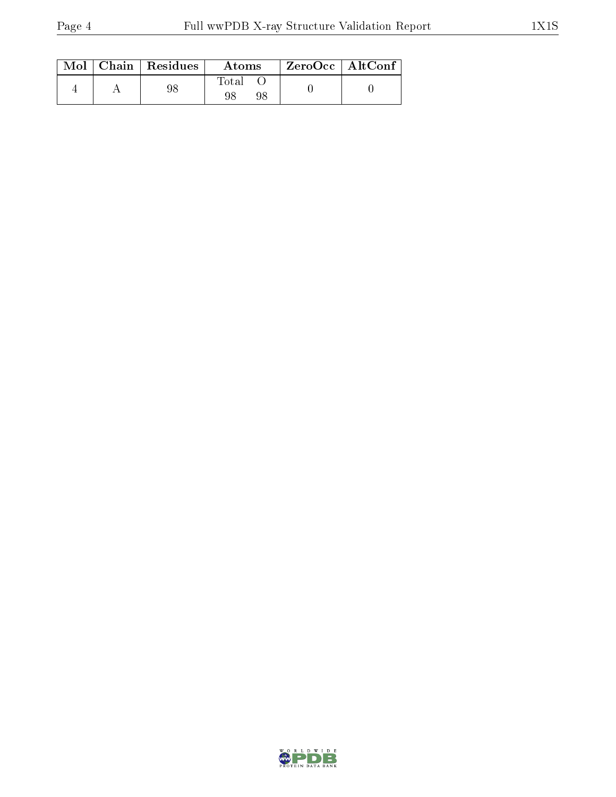|  | $\text{Mol}$   Chain   Residues | Atoms | ZeroOcc   AltConf |
|--|---------------------------------|-------|-------------------|
|  | 98                              | Total |                   |

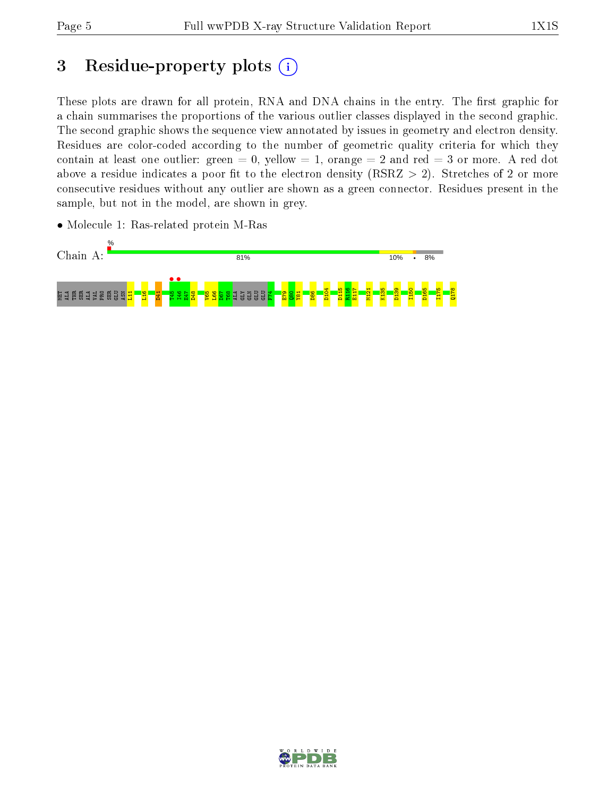## 3 Residue-property plots  $(i)$

These plots are drawn for all protein, RNA and DNA chains in the entry. The first graphic for a chain summarises the proportions of the various outlier classes displayed in the second graphic. The second graphic shows the sequence view annotated by issues in geometry and electron density. Residues are color-coded according to the number of geometric quality criteria for which they contain at least one outlier: green  $= 0$ , yellow  $= 1$ , orange  $= 2$  and red  $= 3$  or more. A red dot above a residue indicates a poor fit to the electron density (RSRZ  $> 2$ ). Stretches of 2 or more consecutive residues without any outlier are shown as a green connector. Residues present in the sample, but not in the model, are shown in grey.



• Molecule 1: Ras-related protein M-Ras

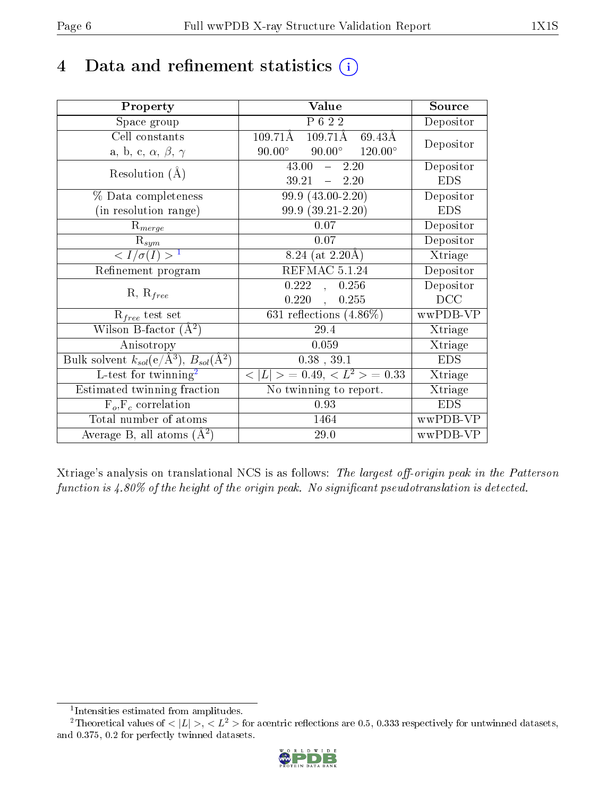## 4 Data and refinement statistics  $(i)$

| Property                                                         | Value                                             | Source     |
|------------------------------------------------------------------|---------------------------------------------------|------------|
| Space group                                                      | $\overline{P622}$                                 | Depositor  |
| Cell constants                                                   | $109.71\text{\AA}$<br>109.71Å<br>69.43Å           | Depositor  |
| a, b, c, $\alpha$ , $\beta$ , $\gamma$                           | $90.00^\circ$<br>$90.00^{\circ}$ $120.00^{\circ}$ |            |
| Resolution $(A)$                                                 | 43.00<br>2.20<br>$\frac{1}{2}$                    | Depositor  |
|                                                                  | 39.21<br>$-2.20$                                  | <b>EDS</b> |
| % Data completeness                                              | 99.9 (43.00-2.20)                                 | Depositor  |
| (in resolution range)                                            | 99.9 (39.21-2.20)                                 | <b>EDS</b> |
| $R_{merge}$                                                      | 0.07                                              | Depositor  |
| $\mathrm{R}_{sym}$                                               | 0.07                                              | Depositor  |
| $\sqrt{I/\sigma(I)} > 1$                                         | 8.24 (at $2.20\text{\AA}$ )                       | Xtriage    |
| Refinement program                                               | REFMAC 5.1.24                                     | Depositor  |
|                                                                  | 0.222<br>0.256<br>$\overline{\mathcal{A}}$        | Depositor  |
| $R, R_{free}$                                                    | 0.220<br>0.255<br>$\mathcal{L}$                   | DCC        |
| $R_{free}$ test set                                              | $631$ reflections $(4.86\%)$                      | wwPDB-VP   |
| Wilson B-factor $(A^2)$                                          | 29.4                                              | Xtriage    |
| Anisotropy                                                       | 0.059                                             | Xtriage    |
| Bulk solvent $k_{sol}(\text{e}/\text{A}^3), B_{sol}(\text{A}^2)$ | $0.38$ , $39.1$                                   | <b>EDS</b> |
| L-test for $\mathrm{twinning}^2$                                 | $< L >$ = 0.49, $< L2$ = 0.33                     | Xtriage    |
| Estimated twinning fraction                                      | No twinning to report.                            | Xtriage    |
| $F_o, F_c$ correlation                                           | 0.93                                              | <b>EDS</b> |
| Total number of atoms                                            | 1464                                              | wwPDB-VP   |
| Average B, all atoms $(A^2)$                                     | 29.0                                              | wwPDB-VP   |

Xtriage's analysis on translational NCS is as follows: The largest off-origin peak in the Patterson function is  $4.80\%$  of the height of the origin peak. No significant pseudotranslation is detected.

<sup>&</sup>lt;sup>2</sup>Theoretical values of  $\langle |L| \rangle$ ,  $\langle L^2 \rangle$  for acentric reflections are 0.5, 0.333 respectively for untwinned datasets, and 0.375, 0.2 for perfectly twinned datasets.



<span id="page-5-1"></span><span id="page-5-0"></span><sup>1</sup> Intensities estimated from amplitudes.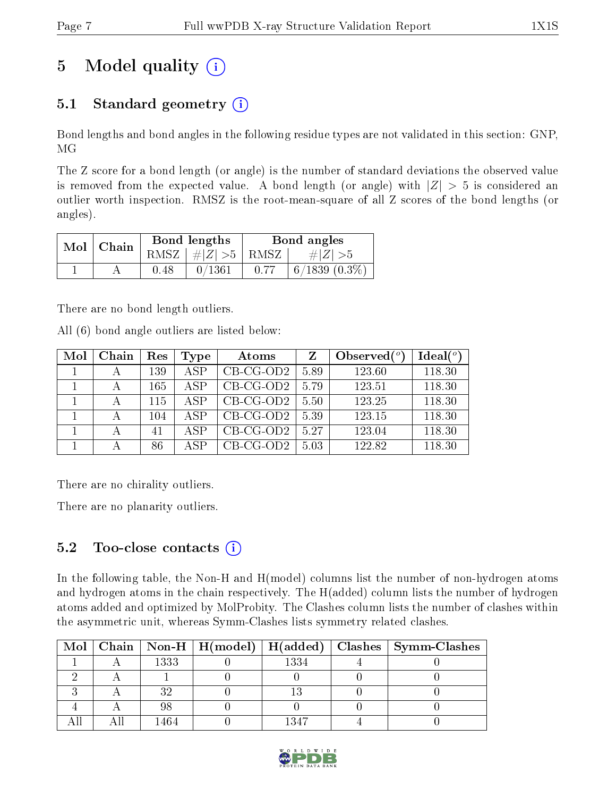# 5 Model quality  $(i)$

### 5.1 Standard geometry  $(i)$

Bond lengths and bond angles in the following residue types are not validated in this section: GNP, MG

The Z score for a bond length (or angle) is the number of standard deviations the observed value is removed from the expected value. A bond length (or angle) with  $|Z| > 5$  is considered an outlier worth inspection. RMSZ is the root-mean-square of all Z scores of the bond lengths (or angles).

| $Mol$   Chain |      | Bond lengths                   | Bond angles |                 |  |
|---------------|------|--------------------------------|-------------|-----------------|--|
|               |      | RMSZ $\mid \#Z \mid >5$   RMSZ |             | $\# Z  > 5$     |  |
|               | 0.48 | 0/1361                         | 0.77        | $6/1839(0.3\%)$ |  |

There are no bond length outliers.

All (6) bond angle outliers are listed below:

| Mol | Chain | Res | Type | Atoms       | Z    | Observed $(°)$ | Ideal(°) |
|-----|-------|-----|------|-------------|------|----------------|----------|
|     |       | 139 | ASP  | $CB-CG-OD2$ | 5.89 | 123.60         | 118.30   |
|     |       | 165 | ASP  | $CB-CG-OD2$ | 5.79 | 123.51         | 118.30   |
|     |       | 115 | A SP | $CB-CG-OD2$ | 5.50 | 123.25         | 118.30   |
|     |       | 104 | ASP  | $CB-CG-OD2$ | 5.39 | 123.15         | 118.30   |
|     |       | 41  | ASP  | $CB-CG-OD2$ | 5.27 | 123.04         | 118.30   |
|     |       | 86  | A SP | $CB-CG-OD2$ | 5.03 | 122.82         | 118.30   |

There are no chirality outliers.

There are no planarity outliers.

### 5.2 Too-close contacts  $(i)$

In the following table, the Non-H and H(model) columns list the number of non-hydrogen atoms and hydrogen atoms in the chain respectively. The H(added) column lists the number of hydrogen atoms added and optimized by MolProbity. The Clashes column lists the number of clashes within the asymmetric unit, whereas Symm-Clashes lists symmetry related clashes.

| Mol |      |      | Chain   Non-H   H(model)   H(added)   Clashes   Symm-Clashes |
|-----|------|------|--------------------------------------------------------------|
|     | 1333 | 1334 |                                                              |
|     |      |      |                                                              |
|     |      |      |                                                              |
|     |      |      |                                                              |
|     | 1464 | 1347 |                                                              |

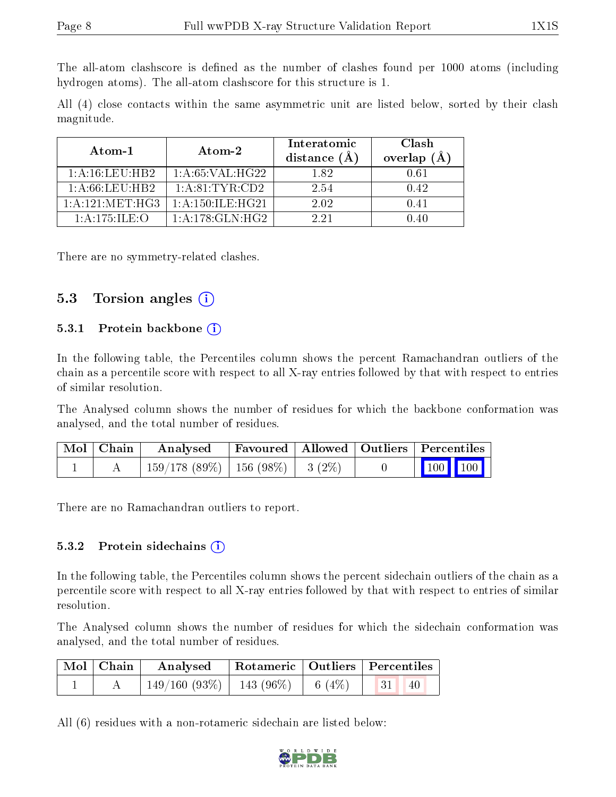The all-atom clashscore is defined as the number of clashes found per 1000 atoms (including hydrogen atoms). The all-atom clashscore for this structure is 1.

All (4) close contacts within the same asymmetric unit are listed below, sorted by their clash magnitude.

| Atom-1              | Atom-2              | Interatomic<br>distance $(A)$ | Clash<br>overlap $(\AA)$ |
|---------------------|---------------------|-------------------------------|--------------------------|
| 1: A:16:LEU:HB2     | 1: A:65: VAL:HG22   | 182                           | 0.61                     |
| 1: A:66:LEU:HB2     | 1: A:81:TYR:CD2     | 2.54                          | 0.42                     |
| 1: A: 121: MET: HG3 | 1: A:150: ILE: HG21 | 2.02                          | O 41                     |
| 1: A: 175: ILE: O   | 1: A:178: GLN: HG2  | 991                           | l 40                     |

There are no symmetry-related clashes.

#### 5.3 Torsion angles  $(i)$

#### 5.3.1 Protein backbone (i)

In the following table, the Percentiles column shows the percent Ramachandran outliers of the chain as a percentile score with respect to all X-ray entries followed by that with respect to entries of similar resolution.

The Analysed column shows the number of residues for which the backbone conformation was analysed, and the total number of residues.

| Mol   Chain | Analysed                                | Favoured   Allowed   Outliers   Percentiles |  |                         |  |
|-------------|-----------------------------------------|---------------------------------------------|--|-------------------------|--|
|             | $159/178$ (89\%)   156 (98\%)   3 (2\%) |                                             |  | $\vert$ 100 100 $\vert$ |  |

There are no Ramachandran outliers to report.

#### 5.3.2 Protein sidechains  $(i)$

In the following table, the Percentiles column shows the percent sidechain outliers of the chain as a percentile score with respect to all X-ray entries followed by that with respect to entries of similar resolution.

The Analysed column shows the number of residues for which the sidechain conformation was analysed, and the total number of residues.

| $\mid$ Mol $\mid$ Chain $\mid$ | Analysed   Rotameric   Outliers   Percentiles |  |                       |  |
|--------------------------------|-----------------------------------------------|--|-----------------------|--|
|                                | $149/160$ $(93\%)$   143 $(96\%)$   6 $(4\%)$ |  | 31 <br>$\big 40\big $ |  |

All (6) residues with a non-rotameric sidechain are listed below:

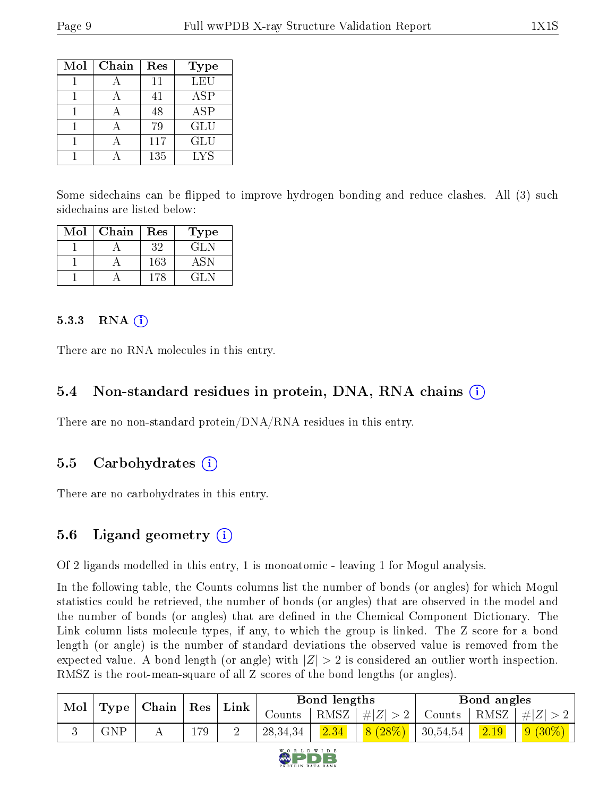| Mol | Chain | Res | Type       |
|-----|-------|-----|------------|
|     |       | 11  | LEU        |
|     |       | 41  | ASP        |
|     |       | 48  | <b>ASP</b> |
|     |       | 79  | GLU        |
|     |       | 117 | GLU        |
|     |       | 135 | LYS        |

Some sidechains can be flipped to improve hydrogen bonding and reduce clashes. All (3) such sidechains are listed below:

| Mol | Chain | Res | Type |
|-----|-------|-----|------|
|     |       | 32  | GL N |
|     |       | 163 |      |
|     |       | 178 | 71.N |

#### $5.3.3$  RNA  $(i)$

There are no RNA molecules in this entry.

### 5.4 Non-standard residues in protein, DNA, RNA chains (i)

There are no non-standard protein/DNA/RNA residues in this entry.

### 5.5 Carbohydrates  $(i)$

There are no carbohydrates in this entry.

### 5.6 Ligand geometry (i)

Of 2 ligands modelled in this entry, 1 is monoatomic - leaving 1 for Mogul analysis.

In the following table, the Counts columns list the number of bonds (or angles) for which Mogul statistics could be retrieved, the number of bonds (or angles) that are observed in the model and the number of bonds (or angles) that are defined in the Chemical Component Dictionary. The Link column lists molecule types, if any, to which the group is linked. The Z score for a bond length (or angle) is the number of standard deviations the observed value is removed from the expected value. A bond length (or angle) with  $|Z| > 2$  is considered an outlier worth inspection. RMSZ is the root-mean-square of all Z scores of the bond lengths (or angles).

| Mol |             | $\mid$ Type   Chain   Res |     | $^{\mathrm{+}}$ Link $_{\mathrm{+}}$ |            | Bond lengths |               |                       | Bond angles |                |
|-----|-------------|---------------------------|-----|--------------------------------------|------------|--------------|---------------|-----------------------|-------------|----------------|
|     |             |                           |     |                                      | Counts     | RMSZ         | $\pm  Z  > 2$ | Counts   RMSZ $\vert$ |             | $\perp \#  Z $ |
|     | ${\rm GNP}$ |                           | 179 |                                      | 28, 34, 34 | 2.34         | 8(28%)        | 30,54,54              | 2.19        | $9(30\%)$      |

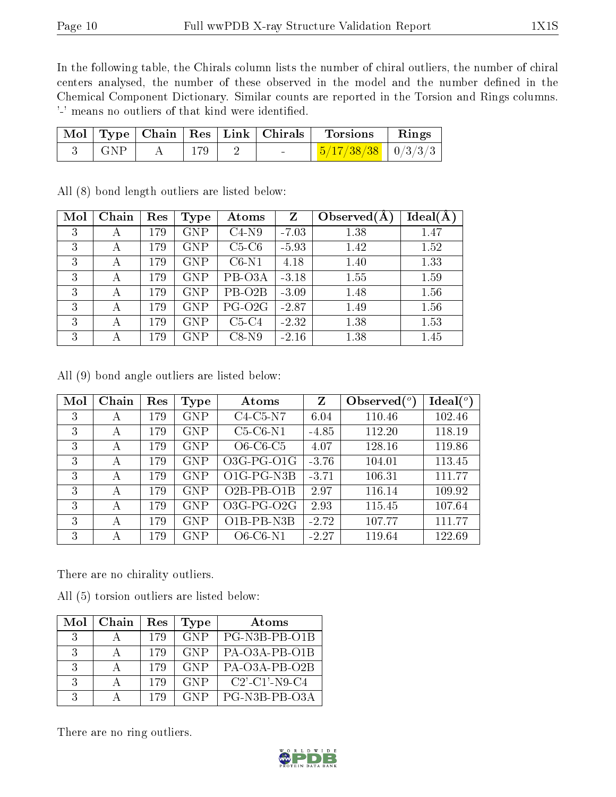In the following table, the Chirals column lists the number of chiral outliers, the number of chiral centers analysed, the number of these observed in the model and the number defined in the Chemical Component Dictionary. Similar counts are reported in the Torsion and Rings columns. '-' means no outliers of that kind were identified.

|                 |     | Mol   Type   Chain   Res   Link   Chirals | Torsions                               | $\parallel$ Rings |
|-----------------|-----|-------------------------------------------|----------------------------------------|-------------------|
| $\parallel$ GNP | 179 |                                           | $\frac{5}{17/38/38}$ $\frac{0}{3/3/3}$ |                   |

| Mol | Chain | Res | Type       | Atoms               | Z       | Observed $(A$ | Ideal(A) |
|-----|-------|-----|------------|---------------------|---------|---------------|----------|
| 3   | А     | 179 | <b>GNP</b> | $C4-N9$             | $-7.03$ | 1.38          | 1.47     |
| 3   | А     | 179 | <b>GNP</b> | $C5-C6$             | $-5.93$ | 1.42          | 1.52     |
| 3   |       | 179 | <b>GNP</b> | $C6-N1$             | 4.18    | 1.40          | 1.33     |
| 3   | А     | 179 | <b>GNP</b> | PB-O3A              | $-3.18$ | 1.55          | 1.59     |
| 3   |       | 179 | <b>GNP</b> | PB-O <sub>2</sub> B | $-3.09$ | 1.48          | 1.56     |
| 3   |       | 179 | <b>GNP</b> | PG-O <sub>2G</sub>  | $-2.87$ | 1.49          | 1.56     |
| 3   |       | 179 | <b>GNP</b> | $C5-C4$             | $-2.32$ | 1.38          | 1.53     |
| 3   |       | 179 | <b>GNP</b> | $C8-N9$             | $-2.16$ | 1.38          | 1.45     |

All (8) bond length outliers are listed below:

All (9) bond angle outliers are listed below:

| Mol | Chain | Res | <b>Type</b> | Atoms                                          | Z       | Observed $\binom{o}{c}$ | Ideal $(°)$ |
|-----|-------|-----|-------------|------------------------------------------------|---------|-------------------------|-------------|
| 3   | А     | 179 | <b>GNP</b>  | $C4-C5-N7$                                     | 6.04    | 110.46                  | 102.46      |
| 3   | А     | 179 | <b>GNP</b>  | $C5-C6-N1$                                     | $-4.85$ | 112.20                  | 118.19      |
| 3   | А     | 179 | <b>GNP</b>  | $O6-C6-C5$                                     | 4.07    | 128.16                  | 119.86      |
| 3   | А     | 179 | <b>GNP</b>  | O3G-PG-O1G                                     | $-3.76$ | 104.01                  | 113.45      |
| 3   | А     | 179 | <b>GNP</b>  | O <sub>1</sub> G-P <sub>G-N<sub>3</sub>B</sub> | $-3.71$ | 106.31                  | 111.77      |
| 3   | А     | 179 | <b>GNP</b>  | $O2B-PB-O1B$                                   | 2.97    | 116.14                  | 109.92      |
| 3   | А     | 179 | <b>GNP</b>  | O3G-PG-O2G                                     | 2.93    | 115.45                  | 107.64      |
| 3   | А     | 179 | <b>GNP</b>  | O1B-PB-N3B                                     | $-2.72$ | 107.77                  | 111.77      |
| 3   | А     | 179 | <b>GNP</b>  | $O6$ -C $6$ -N $1$                             | $-2.27$ | 119.64                  | 122.69      |

There are no chirality outliers.

All (5) torsion outliers are listed below:

| Mol           | Chain | Res | <b>Type</b> | Atoms                                     |
|---------------|-------|-----|-------------|-------------------------------------------|
| $\mathcal{R}$ |       | 179 | GNP         | PG-N3B-PB-O1B                             |
| $\mathcal{R}$ |       | 179 | <b>GNP</b>  | PA-O3A-PB-O1B                             |
| $\mathcal{R}$ |       | 179 | <b>GNP</b>  | PA-O3A-PB-O2B                             |
| 3             |       | 179 | <b>GNP</b>  | $C2$ <sup>'</sup> -C1 <sup>'</sup> -N9-C4 |
| २             |       | 179 | <b>GNP</b>  | PG-N3B-PB-O3A                             |

There are no ring outliers.

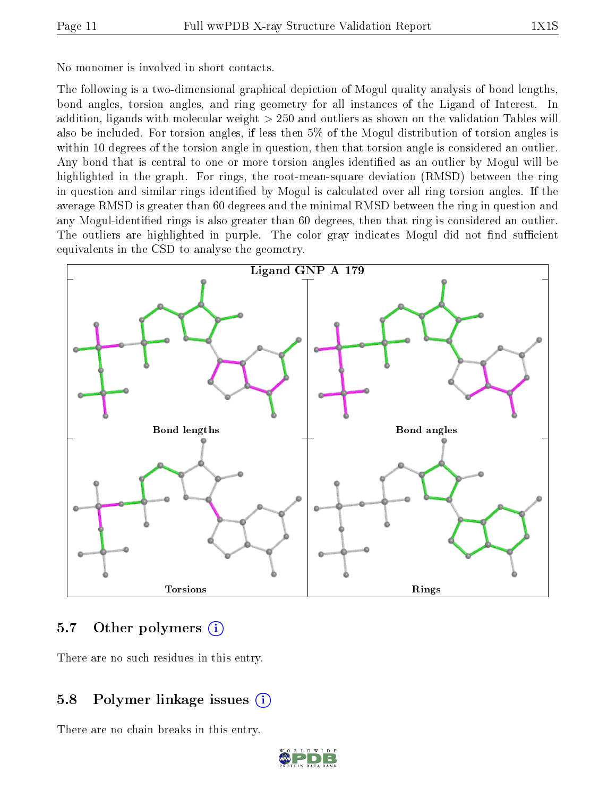No monomer is involved in short contacts.

The following is a two-dimensional graphical depiction of Mogul quality analysis of bond lengths, bond angles, torsion angles, and ring geometry for all instances of the Ligand of Interest. In addition, ligands with molecular weight > 250 and outliers as shown on the validation Tables will also be included. For torsion angles, if less then 5% of the Mogul distribution of torsion angles is within 10 degrees of the torsion angle in question, then that torsion angle is considered an outlier. Any bond that is central to one or more torsion angles identified as an outlier by Mogul will be highlighted in the graph. For rings, the root-mean-square deviation (RMSD) between the ring in question and similar rings identified by Mogul is calculated over all ring torsion angles. If the average RMSD is greater than 60 degrees and the minimal RMSD between the ring in question and any Mogul-identified rings is also greater than 60 degrees, then that ring is considered an outlier. The outliers are highlighted in purple. The color gray indicates Mogul did not find sufficient equivalents in the CSD to analyse the geometry.



#### 5.7 [O](https://www.wwpdb.org/validation/2017/XrayValidationReportHelp#nonstandard_residues_and_ligands)ther polymers (i)

There are no such residues in this entry.

#### 5.8 Polymer linkage issues (i)

There are no chain breaks in this entry.

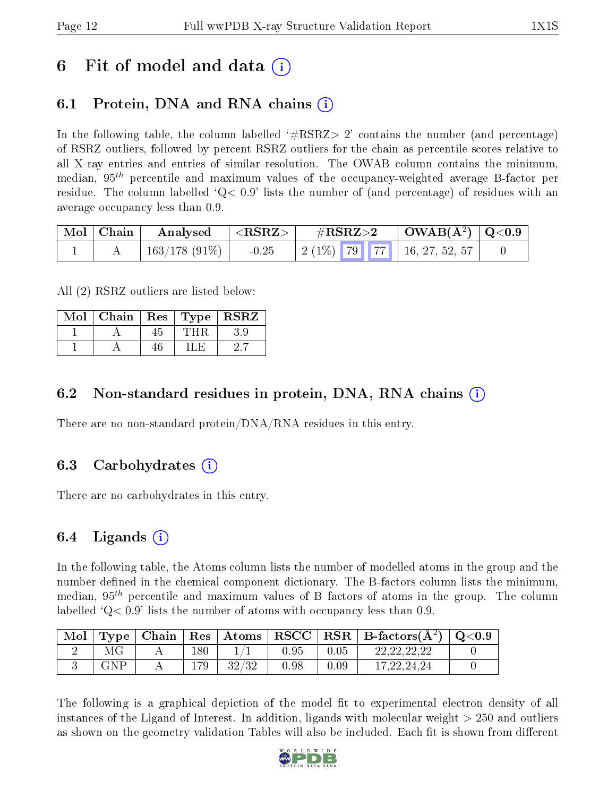### 6 Fit of model and data  $\left( \cdot \right)$

### 6.1 Protein, DNA and RNA chains (i)

In the following table, the column labelled  $#RSRZ>2'$  contains the number (and percentage) of RSRZ outliers, followed by percent RSRZ outliers for the chain as percentile scores relative to all X-ray entries and entries of similar resolution. The OWAB column contains the minimum, median,  $95<sup>th</sup>$  percentile and maximum values of the occupancy-weighted average B-factor per residue. The column labelled  $Q< 0.9$  lists the number of (and percentage) of residues with an average occupancy less than 0.9.

| Mol   Chain | $\boldsymbol{\mathrm{Analysed}}$ | $ \langle \mathrm{RSRZ} \rangle $ | $\rm \#RSRZ{>}2$ |  | $\vert$ OWAB(Å <sup>2</sup> ) $\vert$ Q<0.9 $\vert$     |  |
|-------------|----------------------------------|-----------------------------------|------------------|--|---------------------------------------------------------|--|
|             | $\pm$ 163/178 (91%) $\pm$        | $-0.25$                           |                  |  | $\mid$ 2 (1%) $\mid$ 79 $\mid$ 77 $\mid$ 16, 27, 52, 57 |  |

All (2) RSRZ outliers are listed below:

| Mol | Chain |    | Res   Type | <b>RSRZ</b> |
|-----|-------|----|------------|-------------|
|     |       | 45 |            |             |
|     |       | 46 |            |             |

#### 6.2 Non-standard residues in protein, DNA, RNA chains  $(i)$

There are no non-standard protein/DNA/RNA residues in this entry.

### 6.3 Carbohydrates (i)

There are no carbohydrates in this entry.

### 6.4 Ligands  $(i)$

In the following table, the Atoms column lists the number of modelled atoms in the group and the number defined in the chemical component dictionary. The B-factors column lists the minimum, median,  $95<sup>th</sup>$  percentile and maximum values of B factors of atoms in the group. The column labelled  $Q < 0.9$  lists the number of atoms with occupancy less than 0.9.

| Mol | Type <sub>1</sub> | Chain | $\vert$ Res $\vert$ | $\mid$ Atoms | RSCC       |      | $\mid$ RSR $\mid$ B-factors( $\rm \AA^2)$ ) | $\rm Q\textcolor{black}{<}0.9$ |
|-----|-------------------|-------|---------------------|--------------|------------|------|---------------------------------------------|--------------------------------|
|     |                   |       | 180                 |              | $0.95\,$   | 0.05 | 22, 22, 22, 22                              |                                |
|     | GNP               |       | .79                 | 29/29        | $\rm 0.98$ | 0.09 | 17, 22, 24, 24                              |                                |

The following is a graphical depiction of the model fit to experimental electron density of all instances of the Ligand of Interest. In addition, ligands with molecular weight > 250 and outliers as shown on the geometry validation Tables will also be included. Each fit is shown from different